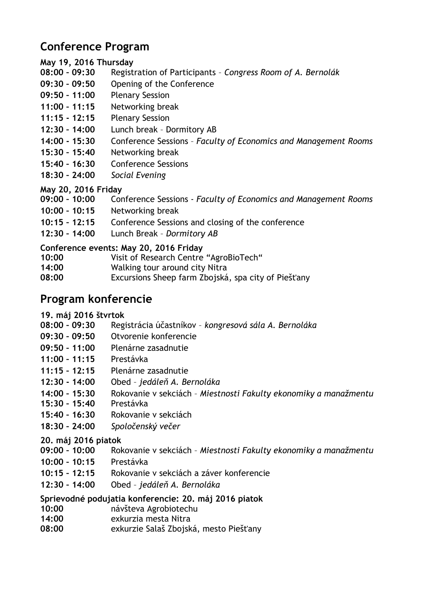# **Conference Program**

## **May 19, 2016 Thursday**

- **08:00 – 09:30** Registration of Participants *Congress Room of A. Bernolák*
- **09:30 – 09:50** Opening of the Conference
- **09:50 – 11:00** Plenary Session
- **11:00 – 11:15** Networking break
- **11:15 - 12:15** Plenary Session
- **12:30 – 14:00** Lunch break Dormitory AB
- **14:00 - 15:30** Conference Sessions *Faculty of Economics and Management Rooms*
- **15:30 – 15:40** Networking break
- **15:40 – 16:30** Conference Sessions
- **18:30 – 24:00** *Social Evening*

## **May 20, 2016 Friday**

- **09:00 – 10:00** Conference Sessions *Faculty of Economics and Management Rooms*
- **10:00 – 10:15** Networking break
- **10:15 – 12:15** Conference Sessions and closing of the conference
- **12:30 – 14:00** Lunch Break *Dormitory AB*

## **Conference events: May 20, 2016 Friday**

- **10:00** Visit of Research Centre "AgroBioTech"
- **14:00** Walking tour around city Nitra
- **08:00** Excursions Sheep farm Zbojská, spa city of Piešťany

# **Program konferencie**

## **19. máj 2016 štvrtok**

- **08:00 – 09:30** Registrácia účastníkov *kongresová sála A. Bernoláka*
- **09:30 – 09:50** Otvorenie konferencie
- **09:50 – 11:00** Plenárne zasadnutie
- **11:00 – 11:15** Prestávka
- **11:15 – 12:15** Plenárne zasadnutie
- **12:30 - 14:00** Obed *jedáleň A. Bernoláka*
- **14:00 – 15:30** Rokovanie v sekciách *Miestnosti Fakulty ekonomiky a manažmentu*
- **15:30 – 15:40** Prestávka
- **15:40 – 16:30** Rokovanie v sekciách
- **18:30 – 24:00** *Spoločenský večer*

## **20. máj 2016 piatok**

- **09:00 – 10:00** Rokovanie v sekciách *Miestnosti Fakulty ekonomiky a manažmentu*
- **10:00 – 10:15** Prestávka
- **10:15 – 12:15** Rokovanie v sekciách a záver konferencie
- **12:30 – 14:00** Obed *jedáleň A. Bernoláka*

## **Sprievodné podujatia konferencie: 20. máj 2016 piatok**

- **10:00** návšteva Agrobiotechu
- **14:00** exkurzia mesta Nitra
- **08:00** exkurzie Salaš Zbojská, mesto Piešťany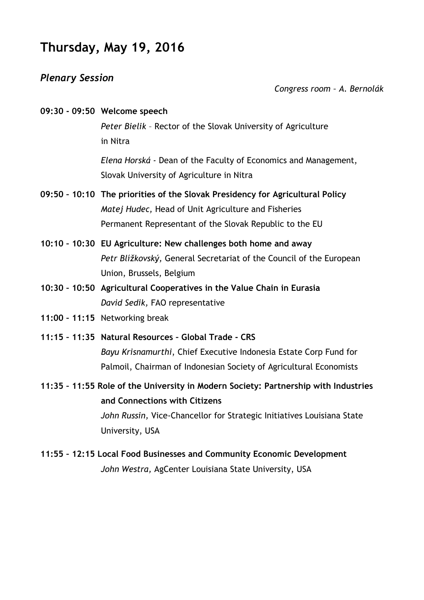# **Thursday, May 19, 2016**

## *Plenary Session*

*Congress room – A. Bernolák*

| 09:30 - 09:50 Welcome speech |
|------------------------------|
|                              |

*Peter Bielik* – Rector of the Slovak University of Agriculture in Nitra

*Elena Horská -* Dean of the Faculty of Economics and Management, Slovak University of Agriculture in Nitra

- **09:50 – 10:10 The priorities of the Slovak Presidency for Agricultural Policy** *Matej Hudec,* Head of Unit Agriculture and Fisheries Permanent Representant of the Slovak Republic to the EU
- **10:10 – 10:30 EU Agriculture: New challenges both home and away** *Petr Blížkovský,* General Secretariat of the Council of the European Union, Brussels, Belgium
- **10:30 – 10:50 Agricultural Cooperatives in the Value Chain in Eurasia** *David Sedik,* FAO representative
- **11:00 – 11:15** Networking break
- **11:15 – 11:35 Natural Resources – Global Trade - CRS** *Bayu Krisnamurthi*, Chief Executive Indonesia Estate Corp Fund for Palmoil, Chairman of Indonesian Society of Agricultural Economists
- **11:35 – 11:55 Role of the University in Modern Society: Partnership with Industries and Connections with Citizens** *John Russin,* Vice-Chancellor for Strategic Initiatives Louisiana State University, USA
- **11:55 – 12:15 Local Food Businesses and Community Economic Development** *John Westra,* AgCenter Louisiana State University, USA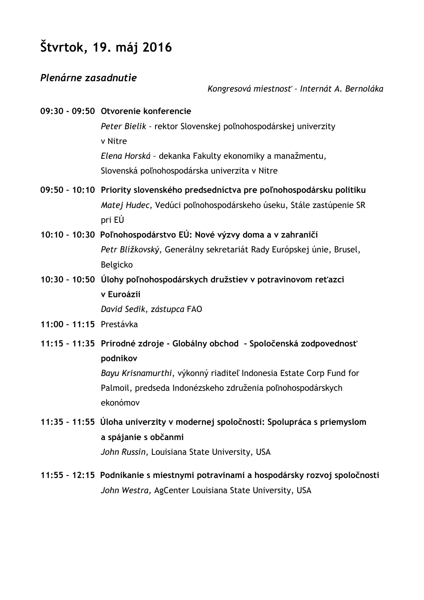# **Štvrtok, 19. máj 2016**

## *Plenárne zasadnutie*

#### *Kongresová miestnosť – Internát A. Bernoláka*

|                         | 09:30 - 09:50 Otvorenie konferencie                                                    |  |
|-------------------------|----------------------------------------------------------------------------------------|--|
|                         | Peter Bielik - rektor Slovenskej poľnohospodárskej univerzity                          |  |
|                         | v Nitre                                                                                |  |
|                         | Elena Horská - dekanka Fakulty ekonomiky a manažmentu,                                 |  |
|                         | Slovenská poľnohospodárska univerzita v Nitre                                          |  |
|                         | 09:50 - 10:10 Priority slovenského predsedníctva pre poľnohospodársku politiku         |  |
|                         | Matej Hudec, Vedúci poľnohospodárskeho úseku, Stále zastúpenie SR                      |  |
|                         | pri EÚ                                                                                 |  |
|                         | 10:10 - 10:30 Poľnohospodárstvo EÚ: Nové výzvy doma a v zahraničí                      |  |
|                         | Petr Blížkovský, Generálny sekretariát Rady Európskej únie, Brusel,                    |  |
|                         | Belgicko                                                                               |  |
|                         | 10:30 - 10:50 Úlohy poľnohospodárskych družstiev v potravinovom reťazci                |  |
|                         | v Euroázii                                                                             |  |
|                         | David Sedik, zástupca FAO                                                              |  |
| 11:00 - 11:15 Prestávka |                                                                                        |  |
|                         | 11:15 - 11:35 Prírodné zdroje - Globálny obchod - Spoločenská zodpovednosť<br>podnikov |  |
|                         | Bayu Krisnamurthi, výkonný riaditeľ Indonesia Estate Corp Fund for                     |  |
|                         | Palmoil, predseda Indonézskeho združenia poľnohospodárskych                            |  |
|                         | ekonómov                                                                               |  |
|                         | 11:35 - 11:55 Úloha univerzity v modernej spoločnosti: Spolupráca s priemyslom         |  |

**a spájanie s občanmi**

*John Russin,* Louisiana State University, USA

**11:55 – 12:15 Podnikanie s miestnymi potravinami a hospodársky rozvoj spoločnosti** *John Westra,* AgCenter Louisiana State University, USA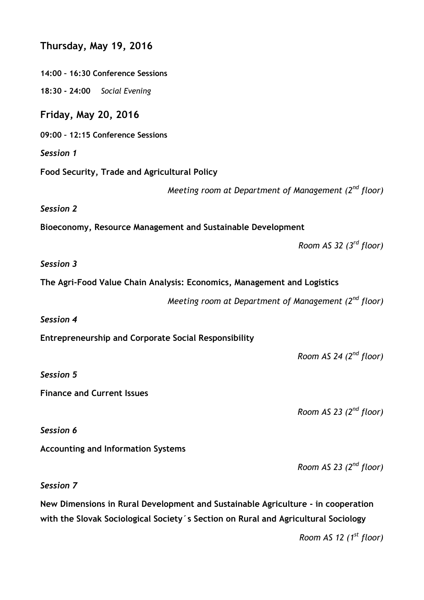| Thursday, May 19, 2016                                                                                                                                                 |  |  |
|------------------------------------------------------------------------------------------------------------------------------------------------------------------------|--|--|
| 14:00 - 16:30 Conference Sessions                                                                                                                                      |  |  |
| 18:30 - 24:00 Social Evening                                                                                                                                           |  |  |
| <b>Friday, May 20, 2016</b>                                                                                                                                            |  |  |
| 09:00 - 12:15 Conference Sessions                                                                                                                                      |  |  |
| Session 1                                                                                                                                                              |  |  |
| Food Security, Trade and Agricultural Policy                                                                                                                           |  |  |
| Meeting room at Department of Management $(2^{nd}$ floor)                                                                                                              |  |  |
| Session 2                                                                                                                                                              |  |  |
| Bioeconomy, Resource Management and Sustainable Development                                                                                                            |  |  |
| Room AS 32 $(3rd$ floor)                                                                                                                                               |  |  |
| Session 3                                                                                                                                                              |  |  |
| The Agri-Food Value Chain Analysis: Economics, Management and Logistics                                                                                                |  |  |
| Meeting room at Department of Management $(2^{nd}$ floor)                                                                                                              |  |  |
| Session 4                                                                                                                                                              |  |  |
| <b>Entrepreneurship and Corporate Social Responsibility</b>                                                                                                            |  |  |
| Room AS 24 $(2^{nd}$ floor)                                                                                                                                            |  |  |
| <b>Session 5</b>                                                                                                                                                       |  |  |
| <b>Finance and Current Issues</b>                                                                                                                                      |  |  |
| Room AS 23 $(2^{nd}$ floor)                                                                                                                                            |  |  |
| Session 6                                                                                                                                                              |  |  |
| <b>Accounting and Information Systems</b>                                                                                                                              |  |  |
| Room AS 23 $(2^{nd}$ floor)                                                                                                                                            |  |  |
| Session 7                                                                                                                                                              |  |  |
| New Dimensions in Rural Development and Sustainable Agriculture - in cooperation<br>with the Slovak Sociological Society's Section on Rural and Agricultural Sociology |  |  |

*Room AS 12 (1 st floor)*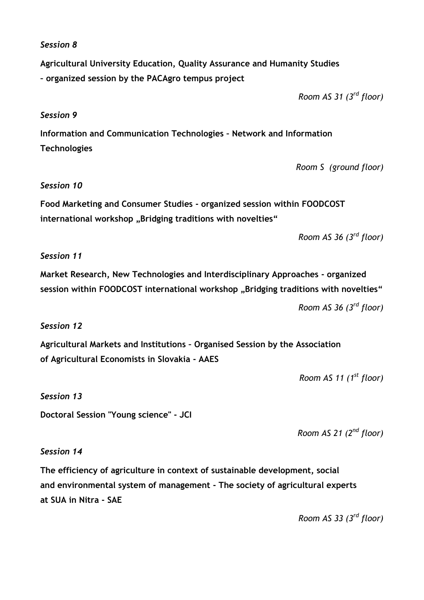#### *Session 8*

**Agricultural University Education, Quality Assurance and Humanity Studies – organized session by the PACAgro tempus project**

*Room AS 31 (3 rd floor)*

#### *Session 9*

**Information and Communication Technologies – Network and Information Technologies**

*Room S (ground floor)*

#### *Session 10*

**Food Marketing and Consumer Studies - organized session within FOODCOST**  international workshop "Bridging traditions with novelties"

*Room AS 36 (3 rd floor)*

#### *Session 11*

**Market Research, New Technologies and Interdisciplinary Approaches - organized**  session within FOODCOST international workshop "Bridging traditions with novelties"

*Room AS 36 (3 rd floor)*

#### *Session 12*

**Agricultural Markets and Institutions – Organised Session by the Association of Agricultural Economists in Slovakia - AAES**

*Room AS 11 (1 st floor)*

#### *Session 13*

**Doctoral Session "Young science" - JCI**

*Room AS 21 (2 nd floor)*

#### *Session 14*

**The efficiency of agriculture in context of sustainable development, social and environmental system of management - The society of agricultural experts at SUA in Nitra - SAE**

*Room AS 33 (3 rd floor)*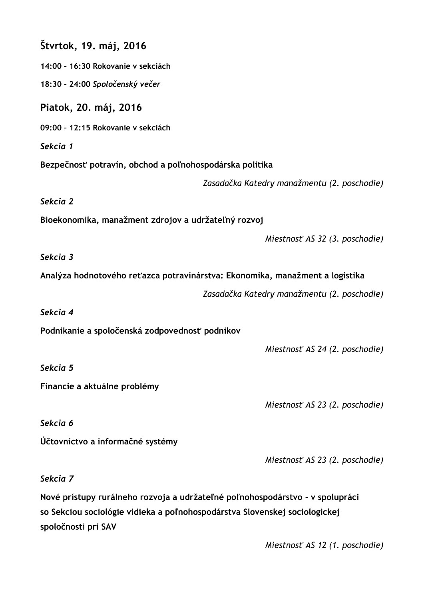| Štvrtok, 19. máj, 2016                                                                                                                                                             |                                             |
|------------------------------------------------------------------------------------------------------------------------------------------------------------------------------------|---------------------------------------------|
| 14:00 - 16:30 Rokovanie v sekciách                                                                                                                                                 |                                             |
| 18:30 - 24:00 Spoločenský večer                                                                                                                                                    |                                             |
| Piatok, 20. máj, 2016                                                                                                                                                              |                                             |
| 09:00 - 12:15 Rokovanie v sekciách                                                                                                                                                 |                                             |
| Sekcia 1                                                                                                                                                                           |                                             |
| Bezpečnosť potravín, obchod a poľnohospodárska politika                                                                                                                            |                                             |
|                                                                                                                                                                                    | Zasadačka Katedry manažmentu (2. poschodie) |
| Sekcia 2                                                                                                                                                                           |                                             |
| Bioekonomika, manažment zdrojov a udržateľný rozvoj                                                                                                                                |                                             |
|                                                                                                                                                                                    | Miestnosť AS 32 (3. poschodie)              |
| Sekcia 3                                                                                                                                                                           |                                             |
| Analýza hodnotového reťazca potravinárstva: Ekonomika, manažment a logistika                                                                                                       |                                             |
|                                                                                                                                                                                    | Zasadačka Katedry manažmentu (2. poschodie) |
| Sekcia 4                                                                                                                                                                           |                                             |
| Podnikanie a spoločenská zodpovednosť podnikov                                                                                                                                     |                                             |
|                                                                                                                                                                                    | Miestnosť AS 24 (2. poschodie)              |
| Sekcia 5                                                                                                                                                                           |                                             |
| Financie a aktuálne problémy                                                                                                                                                       |                                             |
|                                                                                                                                                                                    | Miestnosť AS 23 (2. poschodie)              |
| Sekcia 6                                                                                                                                                                           |                                             |
| Účtovníctvo a informačné systémy                                                                                                                                                   |                                             |
|                                                                                                                                                                                    | Miestnosť AS 23 (2. poschodie)              |
| Sekcia 7                                                                                                                                                                           |                                             |
| Nové prístupy rurálneho rozvoja a udržateľné poľnohospodárstvo - v spolupráci<br>so Sekciou sociológie vidieka a poľnohospodárstva Slovenskej sociologickej<br>spoločnosti pri SAV |                                             |

*Miestnosť AS 12 (1. poschodie)*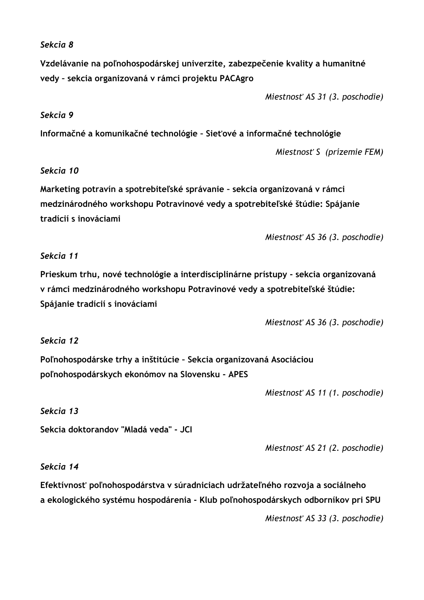#### *Sekcia 8*

**Vzdelávanie na poľnohospodárskej univerzite, zabezpečenie kvality a humanitné vedy – sekcia organizovaná v rámci projektu PACAgro**

*Miestnosť AS 31 (3. poschodie)*

#### *Sekcia 9*

**Informačné a komunikačné technológie – Sieťové a informačné technológie**

*Miestnosť S (prízemie FEM)*

## *Sekcia 10*

**Marketing potravín a spotrebiteľské správanie – sekcia organizovaná v rámci medzinárodného workshopu Potravinové vedy a spotrebiteľské štúdie: Spájanie tradícií s inováciami**

*Miestnosť AS 36 (3. poschodie)*

## *Sekcia 11*

**Prieskum trhu, nové technológie a interdisciplinárne prístupy - sekcia organizovaná v rámci medzinárodného workshopu Potravinové vedy a spotrebiteľské štúdie: Spájanie tradícií s inováciami**

*Miestnosť AS 36 (3. poschodie)*

#### *Sekcia 12*

**Poľnohospodárske trhy a inštitúcie – Sekcia organizovaná Asociáciou poľnohospodárskych ekonómov na Slovensku - APES**

*Miestnosť AS 11 (1. poschodie)*

#### *Sekcia 13*

**Sekcia doktorandov "Mladá veda" - JCI**

*Miestnosť AS 21 (2. poschodie)*

#### *Sekcia 14*

**Efektívnosť poľnohospodárstva v súradniciach udržateľného rozvoja a sociálneho a ekologického systému hospodárenia - Klub poľnohospodárskych odborníkov pri SPU**

*Miestnosť AS 33 (3. poschodie)*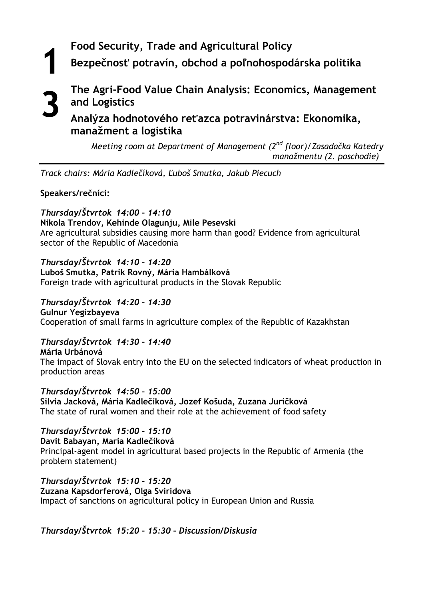**Food Security, Trade and Agricultural Policy** 

**Bezpečnosť potravín, obchod a poľnohospodárska politika**

# **1 3**

**The Agri-Food Value Chain Analysis: Economics, Management and Logistics**

**Analýza hodnotového reťazca potravinárstva: Ekonomika, manažment a logistika**

*Meeting room at Department of Management (2nd floor)/Zasadačka Katedry manažmentu (2. poschodie)*

*Track chairs: Mária Kadlečíková, Ľuboš Smutka, Jakub Piecuch*

**Speakers/rečníci:**

#### *Thursday/Štvrtok 14:00 – 14:10* **Nikola Trendov, Kehinde Olagunju, Mile Pesevski**

Are agricultural subsidies causing more harm than good? Evidence from agricultural sector of the Republic of Macedonia

## *Thursday/Štvrtok 14:10 – 14:20*

## **Luboš Smutka, Patrik Rovný, Mária Hambálková**

Foreign trade with agricultural products in the Slovak Republic

*Thursday/Štvrtok 14:20 – 14:30* **Gulnur Yegizbayeva** Cooperation of small farms in agriculture complex of the Republic of Kazakhstan

## *Thursday/Štvrtok 14:30 – 14:40*

**Mária Urbánová**  The impact of Slovak entry into the EU on the selected indicators of wheat production in production areas

*Thursday/Štvrtok 14:50 – 15:00* **Silvia Jacková, Mária Kadlečíková, Jozef Košuda, Zuzana Juríčková**  The state of rural women and their role at the achievement of food safety

## *Thursday/Štvrtok 15:00 – 15:10*

**Davit Babayan, Maria Kadlečíková** Principal-agent model in agricultural based projects in the Republic of Armenia (the problem statement)

*Thursday/Štvrtok 15:10 – 15:20* **Zuzana Kapsdorferová, Olga Sviridova** Impact of sanctions on agricultural policy in European Union and Russia

*Thursday/Štvrtok 15:20 – 15:30 – Discussion/Diskusia*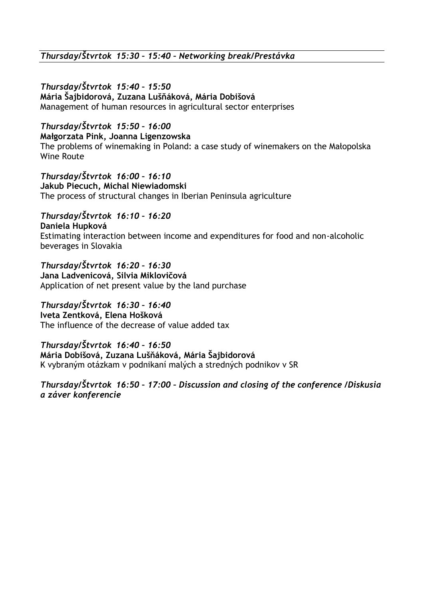*Thursday/Štvrtok 15:30 – 15:40 – Networking break/Prestávka*

*Thursday/Štvrtok 15:40 – 15:50* **Mária Šajbidorová, Zuzana Lušňáková, Mária Dobišová** Management of human resources in agricultural sector enterprises

*Thursday/Štvrtok 15:50 – 16:00* **Małgorzata Pink, Joanna Ligenzowska** The problems of winemaking in Poland: a case study of winemakers on the Małopolska Wine Route

*Thursday/Štvrtok 16:00 – 16:10* **Jakub Piecuch, Michal Niewiadomski** The process of structural changes in Iberian Peninsula agriculture

*Thursday/Štvrtok 16:10 – 16:20* **Daniela Hupková** Estimating interaction between income and expenditures for food and non-alcoholic beverages in Slovakia

*Thursday/Štvrtok 16:20 – 16:30* **Jana Ladvenicová, Silvia Miklovičová** Application of net present value by the land purchase

*Thursday/Štvrtok 16:30 – 16:40* **Iveta Zentková, Elena Hošková** The influence of the decrease of value added tax

*Thursday/Štvrtok 16:40 – 16:50* **Mária Dobišová, Zuzana Lušňáková, Mária Šajbidorová** K vybraným otázkam v podnikaní malých a stredných podnikov v SR

*Thursday/Štvrtok 16:50 – 17:00 – Discussion and closing of the conference /Diskusia a záver konferencie*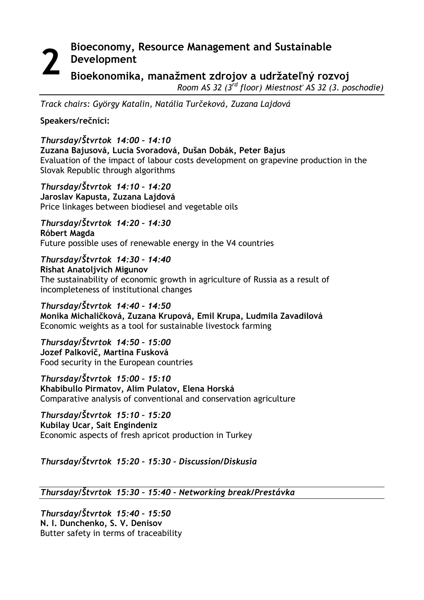## **Bioeconomy, Resource Management and Sustainable Development Bioekonomika, manažment zdrojov a udržateľný rozvoj 2**

*Room AS 32 (3 rd floor) Miestnosť AS 32 (3. poschodie)*

*Track chairs: György Katalin, Natália Turčeková, Zuzana Lajdová*

**Speakers/rečníci:**

## *Thursday/Štvrtok 14:00 – 14:10*

**Zuzana Bajusová, Lucia Svoradová, Dušan Dobák, Peter Bajus** Evaluation of the impact of labour costs development on grapevine production in the Slovak Republic through algorithms

*Thursday/Štvrtok 14:10 – 14:20* **Jaroslav Kapusta, Zuzana Lajdová** Price linkages between biodiesel and vegetable oils

*Thursday/Štvrtok 14:20 – 14:30* **Róbert Magda** Future possible uses of renewable energy in the V4 countries

*Thursday/Štvrtok 14:30 – 14:40* **Rishat Anatoljvich Migunov** The sustainability of economic growth in agriculture of Russia as a result of incompleteness of institutional changes

*Thursday/Štvrtok 14:40 – 14:50* **Monika Michaličková, Zuzana Krupová, Emil Krupa, Ludmila Zavadilová**  Economic weights as a tool for sustainable livestock farming

*Thursday/Štvrtok 14:50 – 15:00* **Jozef Palkovič, Martina Fusková** Food security in the European countries

*Thursday/Štvrtok 15:00 – 15:10* **Khabibullo Pirmatov, Alim Pulatov, Elena Horská** Comparative analysis of conventional and conservation agriculture

*Thursday/Štvrtok 15:10 – 15:20* **Kubilay Ucar, Sait Engindeniz** Economic aspects of fresh apricot production in Turkey

*Thursday/Štvrtok 15:20 – 15:30 – Discussion/Diskusia*

## *Thursday/Štvrtok 15:30 – 15:40 – Networking break/Prestávka*

*Thursday/Štvrtok 15:40 – 15:50* **N. I. Dunchenko, S. V. Denisov** Butter safety in terms of traceability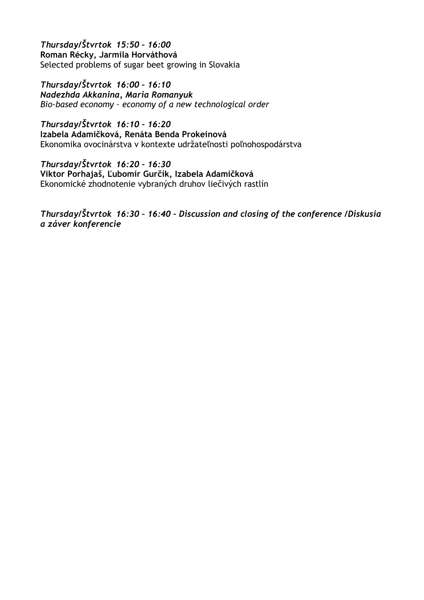*Thursday/Štvrtok 15:50 – 16:00* **Roman Récky, Jarmila Horváthová** Selected problems of sugar beet growing in Slovakia

*Thursday/Štvrtok 16:00 – 16:10 Nadezhda Akkanina, Maria Romanyuk Bio-based economy – economy of a new technological order*

*Thursday/Štvrtok 16:10 – 16:20* **Izabela Adamičková, Renáta Benda Prokeinová**  Ekonomika ovocinárstva v kontexte udržateľnosti poľnohospodárstva

*Thursday/Štvrtok 16:20 – 16:30* **Viktor Porhajaš, Ľubomír Gurčík, Izabela Adamičková**  Ekonomické zhodnotenie vybraných druhov liečivých rastlín

*Thursday/Štvrtok 16:30 – 16:40 – Discussion and closing of the conference /Diskusia a záver konferencie*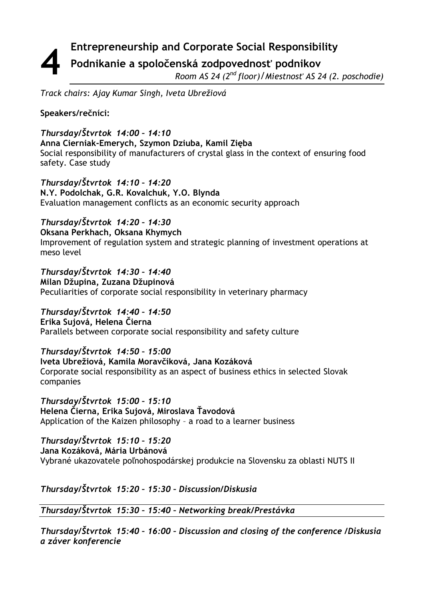#### **Entrepreneurship and Corporate Social Responsibility Podnikanie a spoločenská zodpovednosť podnikov** *Room AS 24 (2 nd floor)/Miestnosť AS 24 (2. poschodie)* **4**

*Track chairs: Ajay Kumar Singh, Iveta Ubrežiová*

## **Speakers/rečníci:**

## *Thursday/Štvrtok 14:00 – 14:10*

**Anna Cierniak-Emerych, Szymon Dziuba, Kamil Zięba** Social responsibility of manufacturers of crystal glass in the context of ensuring food safety. Case study

*Thursday/Štvrtok 14:10 – 14:20* **N.Y. Podolchak, G.R. Kovalchuk, Y.О. Blynda** Evaluation management conflicts as an economic security approach

## *Thursday/Štvrtok 14:20 – 14:30*

**Oksana Perkhach, Oksana Khymych** Improvement of regulation system and strategic planning of investment operations at meso level

*Thursday/Štvrtok 14:30 – 14:40* **Milan Džupina, Zuzana Džupinová** Peculiarities of corporate social responsibility in veterinary pharmacy

## *Thursday/Štvrtok 14:40 – 14:50*

**Erika Sujová, Helena Čierna** Parallels between corporate social responsibility and safety culture

## *Thursday/Štvrtok 14:50 – 15:00*

## **Iveta Ubrežiová, Kamila Moravčíková, Jana Kozáková**

Corporate social responsibility as an aspect of business ethics in selected Slovak companies

*Thursday/Štvrtok 15:00 – 15:10*

**Helena Čierna, Erika Sujová, Miroslava Ťavodová** Application of the Kaizen philosophy – a road to a learner business

## *Thursday/Štvrtok 15:10 – 15:20*

**Jana Kozáková, Mária Urbánová**

Vybrané ukazovatele poľnohospodárskej produkcie na Slovensku za oblasti NUTS II

## *Thursday/Štvrtok 15:20 – 15:30 – Discussion/Diskusia*

*Thursday/Štvrtok 15:30 – 15:40 – Networking break/Prestávka*

*Thursday/Štvrtok 15:40 – 16:00 – Discussion and closing of the conference /Diskusia a záver konferencie*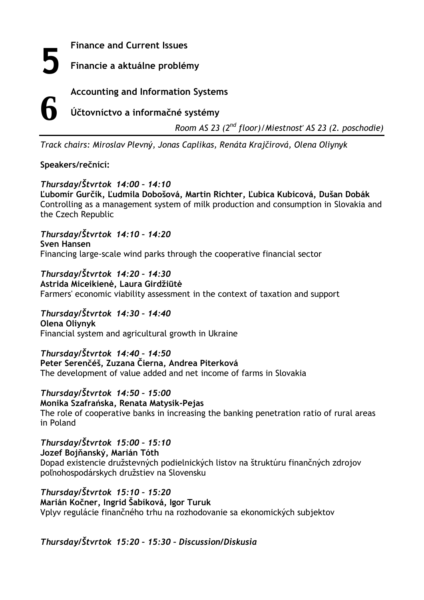**5**

**Finance and Current Issues**

**Financie a aktuálne problémy**

**Accounting and Information Systems**

**6**

**Účtovníctvo a informačné systémy**

*Room AS 23 (2 nd floor)/Miestnosť AS 23 (2. poschodie)*

*Track chairs: Miroslav Plevný, Jonas Caplikas, Renáta Krajčírová, Olena Oliynyk*

## **Speakers/rečnící:**

## *Thursday/Štvrtok 14:00 – 14:10*

**Ľubomír Gurčík, Ľudmila Dobošová, Martin Richter, Ľubica Kubicová, Dušan Dobák**  Controlling as a management system of milk production and consumption in Slovakia and the Czech Republic

*Thursday/Štvrtok 14:10 – 14:20* **Sven Hansen** Financing large-scale wind parks through the cooperative financial sector

*Thursday/Štvrtok 14:20 – 14:30* **Astrida Miceikienė, Laura Girdžiūtė** Farmers' economic viability assessment in the context of taxation and support

*Thursday/Štvrtok 14:30 – 14:40* **Olena Oliynyk** Financial system and agricultural growth in Ukraine

*Thursday/Štvrtok 14:40 – 14:50* **Peter Serenčéš, Zuzana Čierna, Andrea Piterková** The development of value added and net income of farms in Slovakia

# *Thursday/Štvrtok 14:50 – 15:00*

**Monika Szafrańska, Renata Matysik-Pejas** The role of cooperative banks in increasing the banking penetration ratio of rural areas in Poland

*Thursday/Štvrtok 15:00 – 15:10* **Jozef Bojňanský, Marián Tóth** Dopad existencie družstevných podielnických listov na štruktúru finančných zdrojov poľnohospodárskych družstiev na Slovensku

*Thursday/Štvrtok 15:10 – 15:20* **Marián Kočner, Ingrid Šabíková, Igor Turuk** Vplyv regulácie finančného trhu na rozhodovanie sa ekonomických subjektov

## *Thursday/Štvrtok 15:20 – 15:30 – Discussion/Diskusia*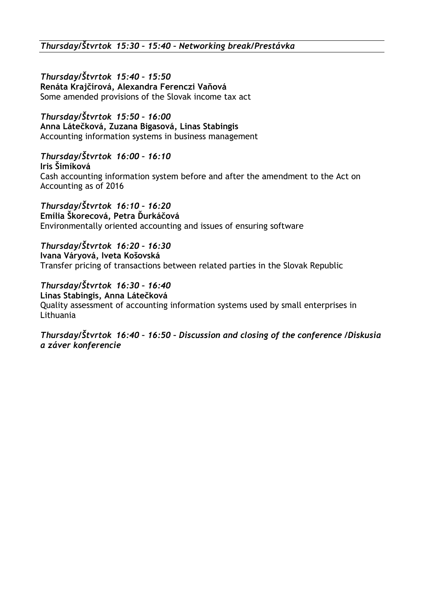*Thursday/Štvrtok 15:40 – 15:50* **Renáta Krajčírová, Alexandra Ferenczi Vaňová** Some amended provisions of the Slovak income tax act

*Thursday/Štvrtok 15:50 – 16:00* **Anna Látečková, Zuzana Bigasová, Linas Stabingis** Accounting information systems in business management

## *Thursday/Štvrtok 16:00 – 16:10*

**Iris Šimíková**  Cash accounting information system before and after the amendment to the Act on Accounting as of 2016

*Thursday/Štvrtok 16:10 – 16:20* **Emília Škorecová, Petra Ďurkáčová** Environmentally oriented accounting and issues of ensuring software

*Thursday/Štvrtok 16:20 – 16:30* **Ivana Váryová, Iveta Košovská** Transfer pricing of transactions between related parties in the Slovak Republic

## *Thursday/Štvrtok 16:30 – 16:40*

**Linas Stabingis, Anna Látečková** Quality assessment of accounting information systems used by small enterprises in Lithuania

*Thursday/Štvrtok 16:40 – 16:50 – Discussion and closing of the conference /Diskusia a záver konferencie*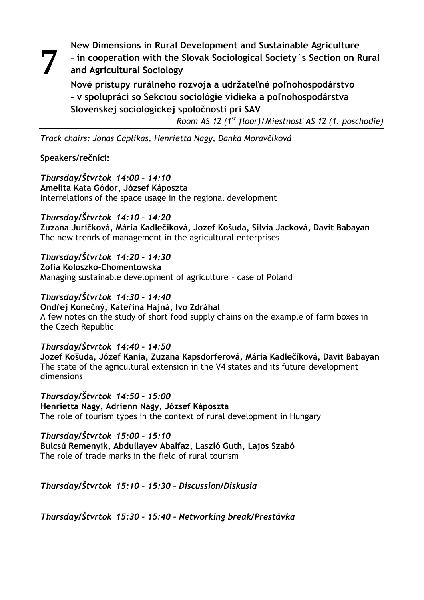**New Dimensions in Rural Development and Sustainable Agriculture 7**

**- in cooperation with the Slovak Sociological Society´s Section on Rural and Agricultural Sociology**

**Nové prístupy rurálneho rozvoja a udržateľné poľnohospodárstvo - v spolupráci so Sekciou sociológie vidieka a poľnohospodárstva Slovenskej sociologickej spoločnosti pri SAV**

*Room AS 12 (1 st floor)/Miestnosť AS 12 (1. poschodie)*

*Track chairs: Jonas Caplikas, Henrietta Nagy, Danka Moravčíková*

## **Speakers/rečníci:**

*Thursday/Štvrtok 14:00 – 14:10* **Amelita Kata Gódor, József Káposzta** Interrelations of the space usage in the regional development

*Thursday/Štvrtok 14:10 – 14:20* **Zuzana Juríčková, Mária Kadlečíková, Jozef Košuda, Silvia Jacková, Davit Babayan** The new trends of management in the agricultural enterprises

*Thursday/Štvrtok 14:20 – 14:30* **Zofia Koloszko-Chomentowska**

Managing sustainable development of agriculture – case of Poland

## *Thursday/Štvrtok 14:30 – 14:40*

**Ondřej Konečný, Kateřina Hajná, Ivo Zdráhal** A few notes on the study of short food supply chains on the example of farm boxes in the Czech Republic

## *Thursday/Štvrtok 14:40 – 14:50*

**Jozef Košuda, Józef Kania, Zuzana Kapsdorferová, Mária Kadlečíková, Davit Babayan** The state of the agricultural extension in the V4 states and its future development dimensions

*Thursday/Štvrtok 14:50 – 15:00* **Henrietta Nagy, Adrienn Nagy, József Káposzta** The role of tourism types in the context of rural development in Hungary

## *Thursday/Štvrtok 15:00 – 15:10*

**Bulcsú Remenyik, Abdullayev Abalfaz, Laszló Guth, Lajos Szabó** The role of trade marks in the field of rural tourism

## *Thursday/Štvrtok 15:10 – 15:30 – Discussion/Diskusia*

*Thursday/Štvrtok 15:30 – 15:40 – Networking break/Prestávka*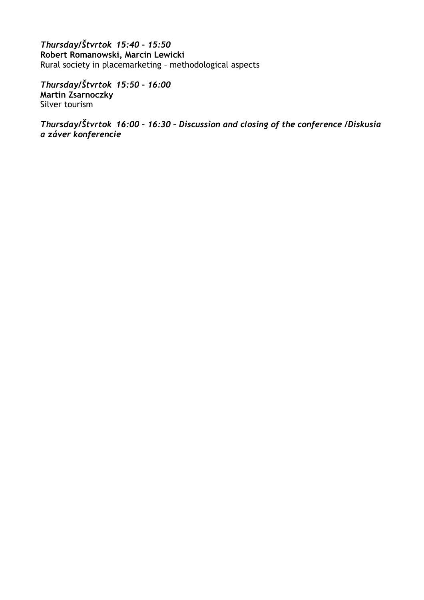*Thursday/Štvrtok 15:40 – 15:50* **Robert Romanowski, Marcin Lewicki** Rural society in placemarketing – methodological aspects

*Thursday/Štvrtok 15:50 – 16:00* **Martin Zsarnoczky** Silver tourism

*Thursday/Štvrtok 16:00 – 16:30 – Discussion and closing of the conference /Diskusia a záver konferencie*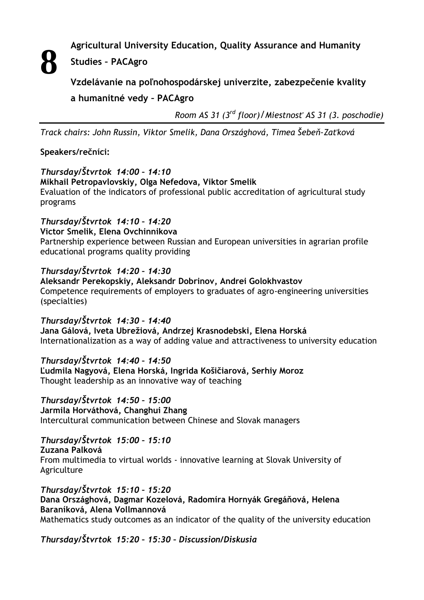**8**

**Agricultural University Education, Quality Assurance and Humanity** 

## **Studies – PACAgro**

**Vzdelávanie na poľnohospodárskej univerzite, zabezpečenie kvality a humanitné vedy – PACAgro**

*Room AS 31 (3 rd floor)/Miestnosť AS 31 (3. poschodie)*

*Track chairs: John Russin, Viktor Smelik, Dana Országhová, Timea Šebeň-Zaťková*

## **Speakers/rečníci:**

## *Thursday/Štvrtok 14:00 – 14:10*

#### **Mikhail Petropavlovskiy, Olga Nefedova, Viktor Smelik**

Evaluation of the indicators of professional public accreditation of agricultural study programs

## *Thursday/Štvrtok 14:10 – 14:20*

**Victor Smelik, Elena Ovchinnikova**

Partnership experience between Russian and European universities in agrarian profile educational programs quality providing

## *Thursday/Štvrtok 14:20 – 14:30*

**Aleksandr Perekopskiy, Aleksandr Dobrinov, Andrei Golokhvastov** Competence requirements of employers to graduates of agro-engineering universities (specialties)

## *Thursday/Štvrtok 14:30 – 14:40*

**Jana Gálová, Iveta Ubrežiová, Andrzej Krasnodebski, Elena Horská** Internationalization as a way of adding value and attractiveness to university education

## *Thursday/Štvrtok 14:40 – 14:50*

**Ľudmila Nagyová, Elena Horská, Ingrida Košičiarová, Serhiy Moroz** Thought leadership as an innovative way of teaching

## *Thursday/Štvrtok 14:50 – 15:00*

**Jarmila Horváthová, Changhui Zhang** Intercultural communication between Chinese and Slovak managers

## *Thursday/Štvrtok 15:00 – 15:10*

**Zuzana Palková**

From multimedia to virtual worlds - innovative learning at Slovak University of Agriculture

#### *Thursday/Štvrtok 15:10 – 15:20* **Dana Országhová, Dagmar Kozelová, Radomíra Hornyák Gregáňová, Helena Baraníková, Alena Vollmannová**

Mathematics study outcomes as an indicator of the quality of the university education

*Thursday/Štvrtok 15:20 – 15:30 – Discussion/Diskusia*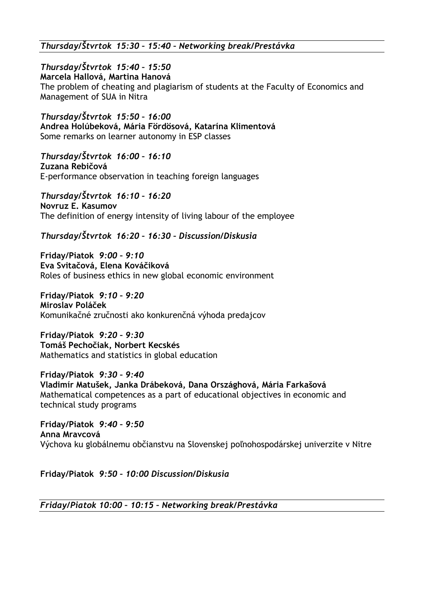*Thursday/Štvrtok 15:30 – 15:40 – Networking break/Prestávka*

*Thursday/Štvrtok 15:40 – 15:50*

**Marcela Hallová, Martina Hanová**

The problem of cheating and plagiarism of students at the Faculty of Economics and Management of SUA in Nitra

*Thursday/Štvrtok 15:50 – 16:00* **Andrea Holúbeková, Mária Fördösová, Katarína Klimentová** Some remarks on learner autonomy in ESP classes

*Thursday/Štvrtok 16:00 – 16:10* **Zuzana Rebičová** E-performance observation in teaching foreign languages

*Thursday/Štvrtok 16:10 – 16:20* **Novruz E. Kasumov** The definition of energy intensity of living labour of the employee

## *Thursday/Štvrtok 16:20 – 16:30 – Discussion/Diskusia*

**Friday/Piatok** *9:00 – 9:10* **Eva Svitačová, Elena Kováčiková** Roles of business ethics in new global economic environment

**Friday/Piatok** *9:10 – 9:20* **Miroslav Poláček** Komunikačné zručnosti ako konkurenčná výhoda predajcov

**Friday/Piatok** *9:20 – 9:30* **Tomáš Pechočiak, Norbert Kecskés** Mathematics and statistics in global education

**Friday/Piatok** *9:30 – 9:40* **Vladimír Matušek, Janka Drábeková, Dana Országhová, Mária Farkašová** Mathematical competences as a part of educational objectives in economic and technical study programs

**Friday/Piatok** *9:40 – 9:50* **Anna Mravcová** Výchova ku globálnemu občianstvu na Slovenskej poľnohospodárskej univerzite v Nitre

**Friday/Piatok** *9:50 – 10:00 Discussion/Diskusia*

*Friday/Piatok 10:00 – 10:15 – Networking break/Prestávka*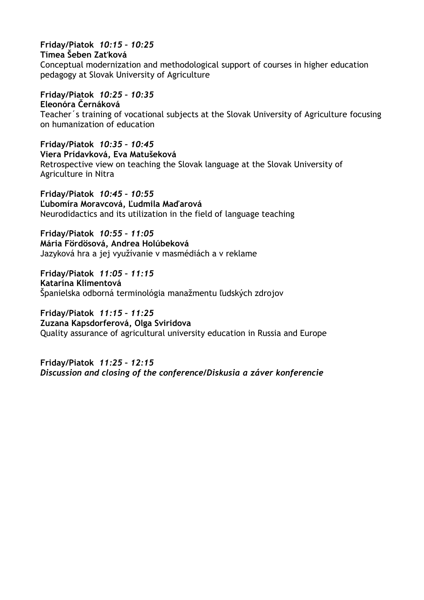## **Friday/Piatok** *10:15 – 10:25*

#### **Tímea Šeben Zaťková**

Conceptual modernization and methodological support of courses in higher education pedagogy at Slovak University of Agriculture

## **Friday/Piatok** *10:25 – 10:35*

**Eleonóra Černáková** Teacher´s training of vocational subjects at the Slovak University of Agriculture focusing on humanization of education

**Friday/Piatok** *10:35 – 10:45* **Viera Prídavková, Eva Matušeková**  Retrospective view on teaching the Slovak language at the Slovak University of Agriculture in Nitra

**Friday/Piatok** *10:45 – 10:55* **Ľubomíra Moravcová, Ľudmila Maďarová** Neurodidactics and its utilization in the field of language teaching

**Friday/Piatok** *10:55 – 11:05* **Mária Fördösová, Andrea Holúbeková** Jazyková hra a jej využívanie v masmédiách a v reklame

**Friday/Piatok** *11:05 – 11:15* **Katarína Klimentová** Španielska odborná terminológia manažmentu ľudských zdrojov

**Friday/Piatok** *11:15 – 11:25* **Zuzana Kapsdorferová, Olga Sviridova**  Quality assurance of agricultural university education in Russia and Europe

**Friday/Piatok** *11:25 – 12:15 Discussion and closing of the conference/Diskusia a záver konferencie*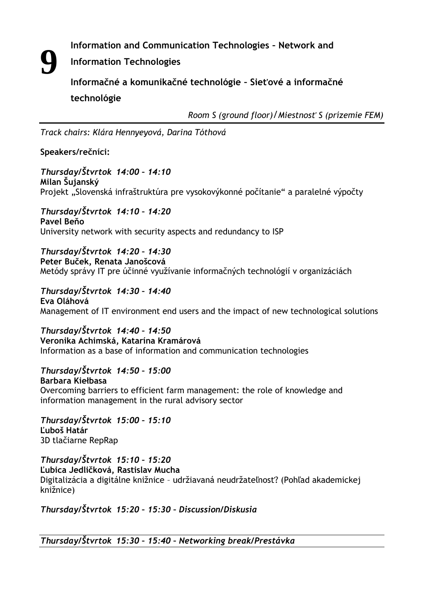**Information and Communication Technologies – Network and** 

**Information Technologies 9**

**Informačné a komunikačné technológie – Sieťové a informačné technológie**

*Room S (ground floor)/Miestnosť S (prízemie FEM)*

*Track chairs: Klára Hennyeyová, Darina Tóthová*

**Speakers/rečníci:**

*Thursday/Štvrtok 14:00 – 14:10* **Milan Šujanský** Projekt "Slovenská infraštruktúra pre vysokovýkonné počítanie" a paralelné výpočty

*Thursday/Štvrtok 14:10 – 14:20* **Pavel Beňo** University network with security aspects and redundancy to ISP

*Thursday/Štvrtok 14:20 – 14:30* **Peter Buček, Renata Janošcová** Metódy správy IT pre účinné využívanie informačných technológií v organizáciách

*Thursday/Štvrtok 14:30 – 14:40* **Eva Oláhová** Management of IT environment end users and the impact of new technological solutions

*Thursday/Štvrtok 14:40 – 14:50* **Veronika Achimská, Katarína Kramárová**  Information as a base of information and communication technologies

*Thursday/Štvrtok 14:50 – 15:00* **Barbara Kiełbasa** Overcoming barriers to efficient farm management: the role of knowledge and information management in the rural advisory sector

*Thursday/Štvrtok 15:00 – 15:10* **Ľuboš Határ** 3D tlačiarne RepRap

*Thursday/Štvrtok 15:10 – 15:20* **Ľubica Jedličková, Rastislav Mucha** Digitalizácia a digitálne knižnice – udržiavaná neudržateľnosť? (Pohľad akademickej knižnice)

*Thursday/Štvrtok 15:20 – 15:30 – Discussion/Diskusia*

*Thursday/Štvrtok 15:30 – 15:40 – Networking break/Prestávka*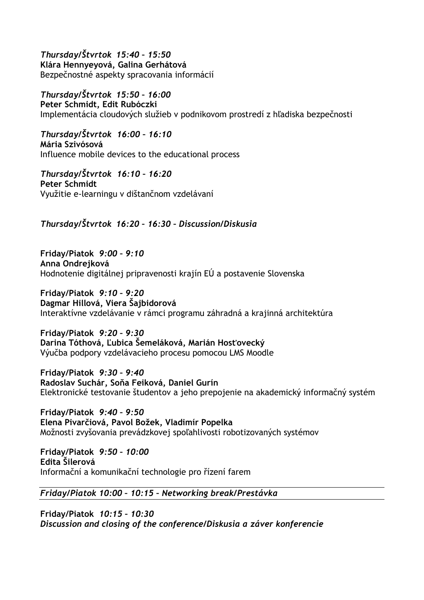*Thursday/Štvrtok 15:40 – 15:50* **Klára Hennyeyová, Galina Gerhátová** Bezpečnostné aspekty spracovania informácií

*Thursday/Štvrtok 15:50 – 16:00* **Peter Schmidt, Edit Rubóczki** Implementácia cloudových služieb v podnikovom prostredí z hľadiska bezpečnosti

*Thursday/Štvrtok**16:00 – 16:10* **Mária Szivósová** Influence mobile devices to the educational process

*Thursday/Štvrtok**16:10 – 16:20* **Peter Schmidt** Využitie e-learningu v dištančnom vzdelávaní

*Thursday/Štvrtok 16:20 – 16:30 – Discussion/Diskusia*

**Friday/Piatok** *9:00 – 9:10* **Anna Ondrejková** Hodnotenie digitálnej pripravenosti krajín EÚ a postavenie Slovenska

**Friday/Piatok** *9:10 – 9:20* **Dagmar Hillová, Viera Šajbidorová** Interaktívne vzdelávanie v rámci programu záhradná a krajinná architektúra

**Friday/Piatok** *9:20 – 9:30* **Darina Tóthová, Ľubica Šemeláková, Marián Hosťovecký** Výučba podpory vzdelávacieho procesu pomocou LMS Moodle

**Friday/Piatok** *9:30 – 9:40* **Radoslav Suchár, Soňa Feiková, Daniel Gurín** Elektronické testovanie študentov a jeho prepojenie na akademický informačný systém

**Friday/Piatok** *9:40 – 9:50* **Elena Pivarčiová, Pavol Božek, Vladimír Popelka**  Možnosti zvyšovania prevádzkovej spoľahlivosti robotizovaných systémov

**Friday/Piatok** *9:50 – 10:00* **Edita Šilerová** Informační a komunikační technologie pro řízení farem

#### *Friday/Piatok 10:00 – 10:15 – Networking break/Prestávka*

**Friday/Piatok** *10:15 – 10:30 Discussion and closing of the conference/Diskusia a záver konferencie*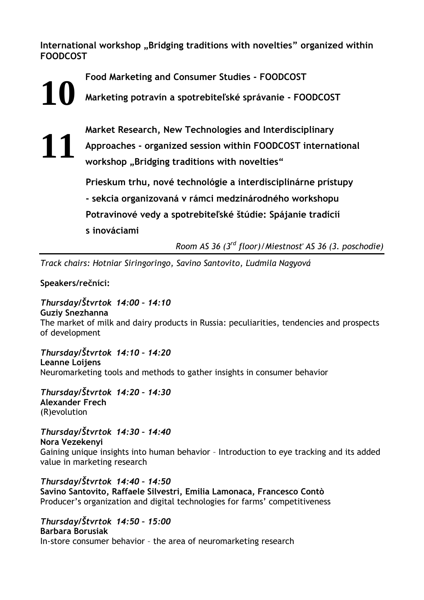**International workshop "Bridging traditions with novelties" organized within FOODCOST** 

**Food Marketing and Consumer Studies - FOODCOST**

**Marketing potravín a spotrebiteľské správanie - FOODCOST 10**

> **Market Research, New Technologies and Interdisciplinary Approaches - organized session within FOODCOST international**  workshop "Bridging traditions with novelties"

**Prieskum trhu, nové technológie a interdisciplinárne prístupy - sekcia organizovaná v rámci medzinárodného workshopu Potravinové vedy a spotrebiteľské štúdie: Spájanie tradícií s inováciami**

*Room AS 36 (3 rd floor)/Miestnosť AS 36 (3. poschodie)*

*Track chairs: Hotniar Siringoringo, Savino Santovito, Ľudmila Nagyová*

**Speakers/rečníci:**

**11**

*Thursday/Štvrtok 14:00 – 14:10* **Guziy Snezhanna** The market of milk and dairy products in Russia: peculiarities, tendencies and prospects of development

*Thursday/Štvrtok 14:10 – 14:20* **Leanne Loijens** Neuromarketing tools and methods to gather insights in consumer behavior

*Thursday/Štvrtok 14:20 – 14:30* **Alexander Frech** (R)evolution

*Thursday/Štvrtok 14:30 – 14:40* **Nora Vezekenyi** Gaining unique insights into human behavior – Introduction to eye tracking and its added value in marketing research

*Thursday/Štvrtok 14:40 – 14:50* **Savino Santovito, Raffaele Silvestri, Emilia Lamonaca, Francesco Contò** Producer's organization and digital technologies for farms' competitiveness

*Thursday/Štvrtok 14:50 – 15:00* **Barbara Borusiak** In-store consumer behavior – the area of neuromarketing research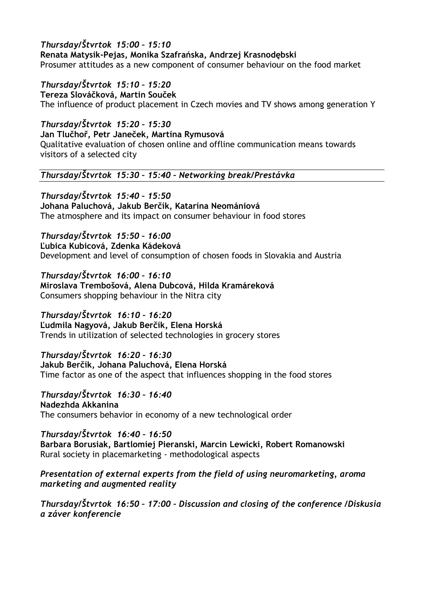*Thursday/Štvrtok 15:00 – 15:10* **Renata Matysik-Pejas, Monika Szafrańska, Andrzej Krasnodębski** Prosumer attitudes as a new component of consumer behaviour on the food market

*Thursday/Štvrtok 15:10 – 15:20* **Tereza Slováčková, Martin Souček** The influence of product placement in Czech movies and TV shows among generation Y

*Thursday/Štvrtok 15:20 – 15:30* **Jan Tlučhoř, Petr Janeček, Martina Rymusová** Qualitative evaluation of chosen online and offline communication means towards visitors of a selected city

*Thursday/Štvrtok 15:30 – 15:40 – Networking break/Prestávka*

*Thursday/Štvrtok 15:40 – 15:50* **Johana Paluchová, Jakub Berčík, Katarína Neomániová** The atmosphere and its impact on consumer behaviour in food stores

*Thursday/Štvrtok 15:50 – 16:00* **Ľubica Kubicová, Zdenka Kádeková**  Development and level of consumption of chosen foods in Slovakia and Austria

*Thursday/Štvrtok 16:00 – 16:10* **Miroslava Trembošová, Alena Dubcová, Hilda Kramáreková** Consumers shopping behaviour in the Nitra city

*Thursday/Štvrtok**16:10 – 16:20* **Ľudmila Nagyová, Jakub Berčík, Elena Horská** Trends in utilization of selected technologies in grocery stores

*Thursday/Štvrtok**16:20 – 16:30* **Jakub Berčík, Johana Paluchová, Elena Horská** Time factor as one of the aspect that influences shopping in the food stores

*Thursday/Štvrtok**16:30 – 16:40* **Nadezhda Akkanina** The consumers behavior in economy of a new technological order

*Thursday/Štvrtok**16:40 – 16:50* **Barbara Borusiak, Bartlomiej Pieranski, Marcin Lewicki, Robert Romanowski** Rural society in placemarketing - methodological aspects

*Presentation of external experts from the field of using neuromarketing, aroma marketing and augmented reality*

*Thursday/Štvrtok 16:50 – 17:00 – Discussion and closing of the conference /Diskusia a záver konferencie*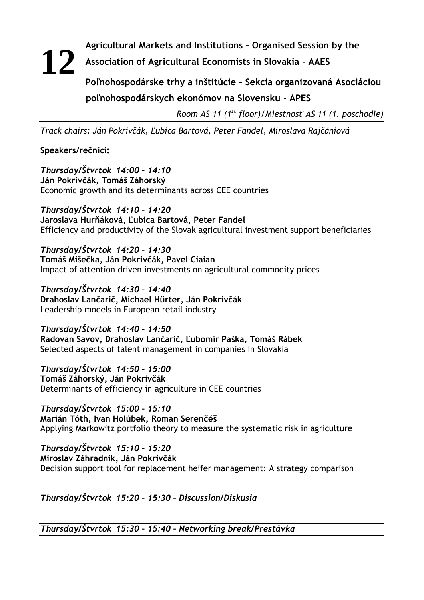## **Agricultural Markets and Institutions – Organised Session by the Association of Agricultural Economists in Slovakia - AAES Poľnohospodárske trhy a inštitúcie – Sekcia organizovaná Asociáciou 12**

## **poľnohospodárskych ekonómov na Slovensku - APES**

*Room AS 11 (1 st floor)/Miestnosť AS 11 (1. poschodie)*

*Track chairs: Ján Pokrivčák, Ľubica Bartová, Peter Fandel, Miroslava Rajčániová*

**Speakers/rečníci:**

*Thursday/Štvrtok 14:00 – 14:10* **Ján Pokrivčák, Tomáš Záhorský**  Economic growth and its determinants across CEE countries

*Thursday/Štvrtok 14:10 – 14:20* **Jaroslava Hurňáková, Ľubica Bartová, Peter Fandel** Efficiency and productivity of the Slovak agricultural investment support beneficiaries

*Thursday/Štvrtok 14:20 – 14:30* **Tomáš Mišečka, Ján Pokrivčák, Pavel Ciaian**  Impact of attention driven investments on agricultural commodity prices

*Thursday/Štvrtok 14:30 – 14:40* **Drahoslav Lančarič, Michael Hűrter, Ján Pokrivčák**  Leadership models in European retail industry

*Thursday/Štvrtok 14:40 – 14:50* **Radovan Savov, Drahoslav Lančarič, Ľubomír Paška, Tomáš Rábek**  Selected aspects of talent management in companies in Slovakia

*Thursday/Štvrtok 14:50 – 15:00* **Tomáš Záhorský, Ján Pokrivčák**  Determinants of efficiency in agriculture in CEE countries

*Thursday/Štvrtok 15:00 – 15:10* **Marián Tóth, Ivan Holúbek, Roman Serenčéš**  Applying Markowitz portfolio theory to measure the systematic risk in agriculture

*Thursday/Štvrtok 15:10 – 15:20* **Miroslav Záhradník, Ján Pokrivčák**  Decision support tool for replacement heifer management: A strategy comparison

*Thursday/Štvrtok 15:20 – 15:30 – Discussion/Diskusia*

*Thursday/Štvrtok 15:30 – 15:40 – Networking break/Prestávka*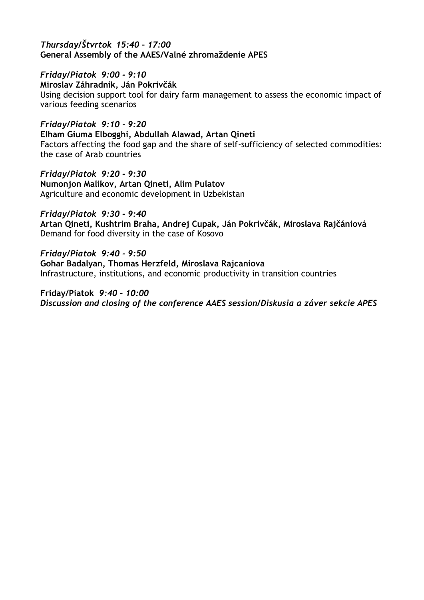#### *Thursday/Štvrtok 15:40 – 17:00*  **General Assembly of the AAES/Valné zhromaždenie APES**

*Friday/Piatok 9:00 - 9:10*  **Miroslav Záhradník, Ján Pokrivčák**  Using decision support tool for dairy farm management to assess the economic impact of various feeding scenarios

*Friday/Piatok 9:10 - 9:20* **Elham Giuma Elbogghi, Abdullah Alawad, Artan Qineti** Factors affecting the food gap and the share of self-sufficiency of selected commodities: the case of Arab countries

*Friday/Piatok 9:20 - 9:30* **Numonjon Malikov, Artan Qineti, Alim Pulatov** Agriculture and economic development in Uzbekistan

*Friday/Piatok 9:30 - 9:40* **Artan Qineti, Kushtrim Braha, Andrej Cupak, Ján Pokrivčák, Miroslava Rajčániová** Demand for food diversity in the case of Kosovo

*Friday/Piatok 9:40 - 9:50* **Gohar Badalyan, Thomas Herzfeld, Miroslava Rajcaniova** Infrastructure, institutions, and economic productivity in transition countries

**Friday/Piatok** *9:40 – 10:00 Discussion and closing of the conference AAES session/Diskusia a záver sekcie APES*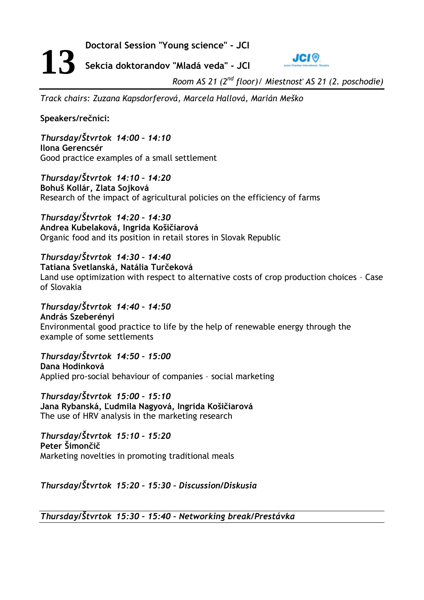**Doctoral Session "Young science" - JCI**



**Sekcia doktorandov "Mladá veda" - JCI**

*Room AS 21 (2 nd floor)/ Miestnosť AS 21 (2. poschodie)*

*Track chairs: Zuzana Kapsdorferová, Marcela Hallová, Marián Meško*

**Speakers/rečníci:**

**13**

*Thursday/Štvrtok 14:00 – 14:10* **Ilona Gerencsér** Good practice examples of a small settlement

*Thursday/Štvrtok 14:10 – 14:20* **Bohuš Kollár, Zlata Sojková**  Research of the impact of agricultural policies on the efficiency of farms

*Thursday/Štvrtok 14:20 – 14:30* **Andrea Kubelaková, Ingrida Košičiarová**  Organic food and its position in retail stores in Slovak Republic

*Thursday/Štvrtok 14:30 – 14:40* **Tatiana Svetlanská, Natália Turčeková**  Land use optimization with respect to alternative costs of crop production choices – Case of Slovakia

*Thursday/Štvrtok 14:40 – 14:50* **András Szeberényi** Environmental good practice to life by the help of renewable energy through the example of some settlements

*Thursday/Štvrtok 14:50 – 15:00* **Dana Hodinková**  Applied pro-social behaviour of companies – social marketing

*Thursday/Štvrtok 15:00 – 15:10* **Jana Rybanská, Ľudmila Nagyová, Ingrida Košičiarová**  The use of HRV analysis in the marketing research

*Thursday/Štvrtok 15:10 – 15:20* **Peter Šimončič**  Marketing novelties in promoting traditional meals

*Thursday/Štvrtok 15:20 – 15:30 – Discussion/Diskusia*

*Thursday/Štvrtok 15:30 – 15:40 – Networking break/Prestávka*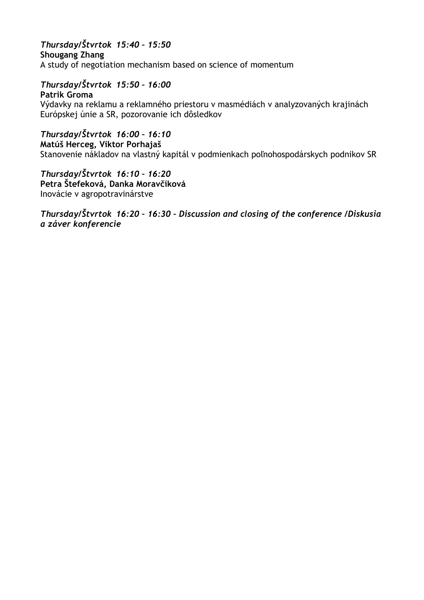## *Thursday/Štvrtok 15:40 – 15:50*

**Shougang Zhang**  A study of negotiation mechanism based on science of momentum

## *Thursday/Štvrtok 15:50 – 16:00*

**Patrik Groma** Výdavky na reklamu a reklamného priestoru v masmédiách v analyzovaných krajinách Európskej únie a SR, pozorovanie ich dôsledkov

## *Thursday/Štvrtok 16:00 – 16:10*

**Matúš Herceg, Viktor Porhajaš** Stanovenie nákladov na vlastný kapitál v podmienkach poľnohospodárskych podnikov SR

*Thursday/Štvrtok 16:10 – 16:20* **Petra Štefeková, Danka Moravčíková** Inovácie v agropotravinárstve

*Thursday/Štvrtok 16:20 – 16:30 – Discussion and closing of the conference /Diskusia a záver konferencie*